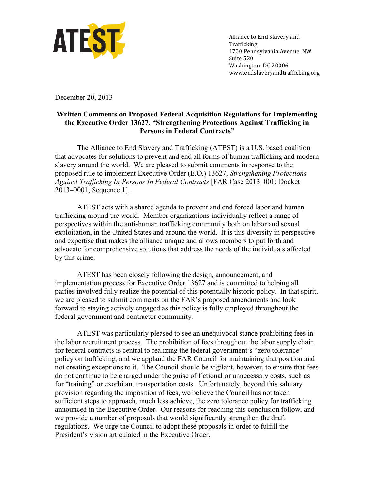

Alliance to End Slavery and Trafficking 1700 Pennsylvania Avenue, NW Suite 520 Washington, DC 20006 www.endslaveryandtrafficking.org

December 20, 2013

## **Written Comments on Proposed Federal Acquisition Regulations for Implementing the Executive Order 13627, "Strengthening Protections Against Trafficking in Persons in Federal Contracts"**

The Alliance to End Slavery and Trafficking (ATEST) is a U.S. based coalition that advocates for solutions to prevent and end all forms of human trafficking and modern slavery around the world. We are pleased to submit comments in response to the proposed rule to implement Executive Order (E.O.) 13627, *Strengthening Protections Against Trafficking In Persons In Federal Contracts* [FAR Case 2013–001; Docket 2013–0001; Sequence 1].

ATEST acts with a shared agenda to prevent and end forced labor and human trafficking around the world. Member organizations individually reflect a range of perspectives within the anti-human trafficking community both on labor and sexual exploitation, in the United States and around the world. It is this diversity in perspective and expertise that makes the alliance unique and allows members to put forth and advocate for comprehensive solutions that address the needs of the individuals affected by this crime.

ATEST has been closely following the design, announcement, and implementation process for Executive Order 13627 and is committed to helping all parties involved fully realize the potential of this potentially historic policy. In that spirit, we are pleased to submit comments on the FAR's proposed amendments and look forward to staying actively engaged as this policy is fully employed throughout the federal government and contractor community.

ATEST was particularly pleased to see an unequivocal stance prohibiting fees in the labor recruitment process. The prohibition of fees throughout the labor supply chain for federal contracts is central to realizing the federal government's "zero tolerance" policy on trafficking, and we applaud the FAR Council for maintaining that position and not creating exceptions to it. The Council should be vigilant, however, to ensure that fees do not continue to be charged under the guise of fictional or unnecessary costs, such as for "training" or exorbitant transportation costs. Unfortunately, beyond this salutary provision regarding the imposition of fees, we believe the Council has not taken sufficient steps to approach, much less achieve, the zero tolerance policy for trafficking announced in the Executive Order. Our reasons for reaching this conclusion follow, and we provide a number of proposals that would significantly strengthen the draft regulations. We urge the Council to adopt these proposals in order to fulfill the President's vision articulated in the Executive Order.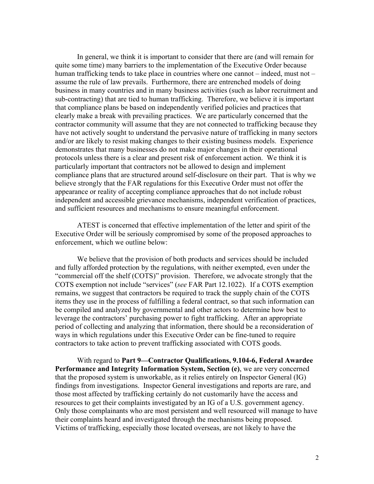In general, we think it is important to consider that there are (and will remain for quite some time) many barriers to the implementation of the Executive Order because human trafficking tends to take place in countries where one cannot – indeed, must not – assume the rule of law prevails. Furthermore, there are entrenched models of doing business in many countries and in many business activities (such as labor recruitment and sub-contracting) that are tied to human trafficking. Therefore, we believe it is important that compliance plans be based on independently verified policies and practices that clearly make a break with prevailing practices. We are particularly concerned that the contractor community will assume that they are not connected to trafficking because they have not actively sought to understand the pervasive nature of trafficking in many sectors and/or are likely to resist making changes to their existing business models. Experience demonstrates that many businesses do not make major changes in their operational protocols unless there is a clear and present risk of enforcement action. We think it is particularly important that contractors not be allowed to design and implement compliance plans that are structured around self-disclosure on their part. That is why we believe strongly that the FAR regulations for this Executive Order must not offer the appearance or reality of accepting compliance approaches that do not include robust independent and accessible grievance mechanisms, independent verification of practices, and sufficient resources and mechanisms to ensure meaningful enforcement.

ATEST is concerned that effective implementation of the letter and spirit of the Executive Order will be seriously compromised by some of the proposed approaches to enforcement, which we outline below:

We believe that the provision of both products and services should be included and fully afforded protection by the regulations, with neither exempted, even under the "commercial off the shelf (COTS)" provision. Therefore, we advocate strongly that the COTS exemption not include "services" (*see* FAR Part 12.1022). If a COTS exemption remains, we suggest that contractors be required to track the supply chain of the COTS items they use in the process of fulfilling a federal contract, so that such information can be compiled and analyzed by governmental and other actors to determine how best to leverage the contractors' purchasing power to fight trafficking. After an appropriate period of collecting and analyzing that information, there should be a reconsideration of ways in which regulations under this Executive Order can be fine-tuned to require contractors to take action to prevent trafficking associated with COTS goods.

With regard to **Part 9—Contractor Qualifications, 9.104-6, Federal Awardee Performance and Integrity Information System, Section (e)**, we are very concerned that the proposed system is unworkable, as it relies entirely on Inspector General (IG) findings from investigations. Inspector General investigations and reports are rare, and those most affected by trafficking certainly do not customarily have the access and resources to get their complaints investigated by an IG of a U.S. government agency. Only those complainants who are most persistent and well resourced will manage to have their complaints heard and investigated through the mechanisms being proposed. Victims of trafficking, especially those located overseas, are not likely to have the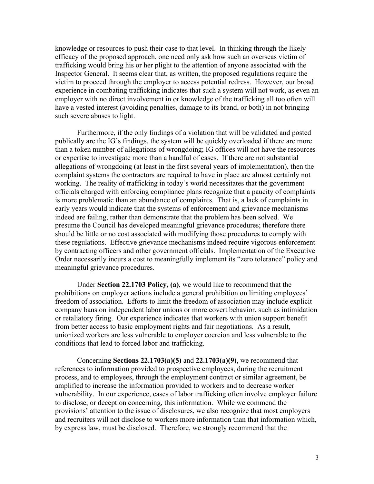knowledge or resources to push their case to that level. In thinking through the likely efficacy of the proposed approach, one need only ask how such an overseas victim of trafficking would bring his or her plight to the attention of anyone associated with the Inspector General. It seems clear that, as written, the proposed regulations require the victim to proceed through the employer to access potential redress. However, our broad experience in combating trafficking indicates that such a system will not work, as even an employer with no direct involvement in or knowledge of the trafficking all too often will have a vested interest (avoiding penalties, damage to its brand, or both) in not bringing such severe abuses to light.

Furthermore, if the only findings of a violation that will be validated and posted publically are the IG's findings, the system will be quickly overloaded if there are more than a token number of allegations of wrongdoing; IG offices will not have the resources or expertise to investigate more than a handful of cases. If there are not substantial allegations of wrongdoing (at least in the first several years of implementation), then the complaint systems the contractors are required to have in place are almost certainly not working. The reality of trafficking in today's world necessitates that the government officials charged with enforcing compliance plans recognize that a paucity of complaints is more problematic than an abundance of complaints. That is, a lack of complaints in early years would indicate that the systems of enforcement and grievance mechanisms indeed are failing, rather than demonstrate that the problem has been solved. We presume the Council has developed meaningful grievance procedures; therefore there should be little or no cost associated with modifying those procedures to comply with these regulations. Effective grievance mechanisms indeed require vigorous enforcement by contracting officers and other government officials. Implementation of the Executive Order necessarily incurs a cost to meaningfully implement its "zero tolerance" policy and meaningful grievance procedures.

Under **Section 22.1703 Policy, (a)**, we would like to recommend that the prohibitions on employer actions include a general prohibition on limiting employees' freedom of association. Efforts to limit the freedom of association may include explicit company bans on independent labor unions or more covert behavior, such as intimidation or retaliatory firing. Our experience indicates that workers with union support benefit from better access to basic employment rights and fair negotiations. As a result, unionized workers are less vulnerable to employer coercion and less vulnerable to the conditions that lead to forced labor and trafficking.

Concerning **Sections 22.1703(a)(5)** and **22.1703(a)(9)**, we recommend that references to information provided to prospective employees, during the recruitment process, and to employees, through the employment contract or similar agreement, be amplified to increase the information provided to workers and to decrease worker vulnerability. In our experience, cases of labor trafficking often involve employer failure to disclose, or deception concerning, this information. While we commend the provisions' attention to the issue of disclosures, we also recognize that most employers and recruiters will not disclose to workers more information than that information which, by express law, must be disclosed. Therefore, we strongly recommend that the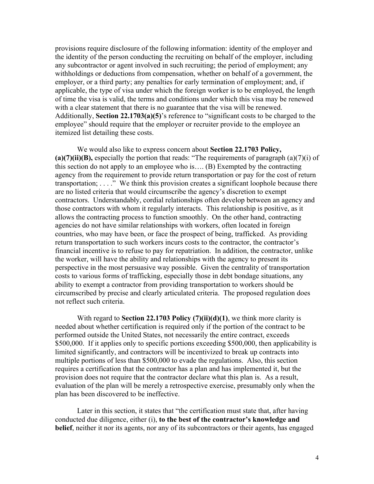provisions require disclosure of the following information: identity of the employer and the identity of the person conducting the recruiting on behalf of the employer, including any subcontractor or agent involved in such recruiting; the period of employment; any withholdings or deductions from compensation, whether on behalf of a government, the employer, or a third party; any penalties for early termination of employment; and, if applicable, the type of visa under which the foreign worker is to be employed, the length of time the visa is valid, the terms and conditions under which this visa may be renewed with a clear statement that there is no guarantee that the visa will be renewed. Additionally, **Section 22.1703(a)(5)**'s reference to "significant costs to be charged to the employee" should require that the employer or recruiter provide to the employee an itemized list detailing these costs.

We would also like to express concern about **Section 22.1703 Policy, (a)(7)(ii)(B),** especially the portion that reads: "The requirements of paragraph (a)(7)(i) of this section do not apply to an employee who is…. (B) Exempted by the contracting agency from the requirement to provide return transportation or pay for the cost of return transportation; . . . ." We think this provision creates a significant loophole because there are no listed criteria that would circumscribe the agency's discretion to exempt contractors. Understandably, cordial relationships often develop between an agency and those contractors with whom it regularly interacts. This relationship is positive, as it allows the contracting process to function smoothly. On the other hand, contracting agencies do not have similar relationships with workers, often located in foreign countries, who may have been, or face the prospect of being, trafficked. As providing return transportation to such workers incurs costs to the contractor, the contractor's financial incentive is to refuse to pay for repatriation. In addition, the contractor, unlike the worker, will have the ability and relationships with the agency to present its perspective in the most persuasive way possible. Given the centrality of transportation costs to various forms of trafficking, especially those in debt bondage situations, any ability to exempt a contractor from providing transportation to workers should be circumscribed by precise and clearly articulated criteria. The proposed regulation does not reflect such criteria.

With regard to **Section 22.1703 Policy (7)(ii)(d)(1)**, we think more clarity is needed about whether certification is required only if the portion of the contract to be performed outside the United States, not necessarily the entire contract, exceeds \$500,000. If it applies only to specific portions exceeding \$500,000, then applicability is limited significantly, and contractors will be incentivized to break up contracts into multiple portions of less than \$500,000 to evade the regulations. Also, this section requires a certification that the contractor has a plan and has implemented it, but the provision does not require that the contractor declare what this plan is. As a result, evaluation of the plan will be merely a retrospective exercise, presumably only when the plan has been discovered to be ineffective.

Later in this section, it states that "the certification must state that, after having conducted due diligence, either (i), **to the best of the contractor's knowledge and belief**, neither it nor its agents, nor any of its subcontractors or their agents, has engaged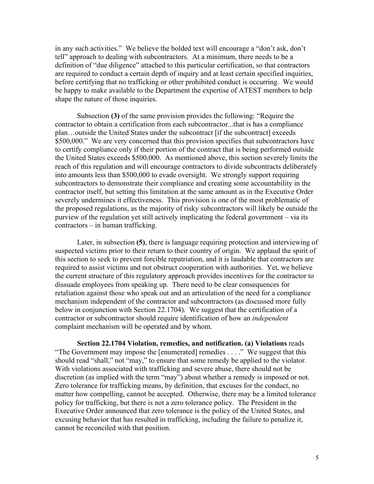in any such activities." We believe the bolded text will encourage a "don't ask, don't tell" approach to dealing with subcontractors. At a minimum, there needs to be a definition of "due diligence" attached to this particular certification, so that contractors are required to conduct a certain depth of inquiry and at least certain specified inquiries, before certifying that no trafficking or other prohibited conduct is occurring. We would be happy to make available to the Department the expertise of ATEST members to help shape the nature of those inquiries.

Subsection **(3)** of the same provision provides the following: "Require the contractor to obtain a certification from each subcontractor...that is has a compliance plan…outside the United States under the subcontract [if the subcontract] exceeds \$500,000." We are very concerned that this provision specifies that subcontractors have to certify compliance only if their portion of the contract that is being performed outside the United States exceeds \$500,000. As mentioned above, this section severely limits the reach of this regulation and will encourage contractors to divide subcontracts deliberately into amounts less than \$500,000 to evade oversight. We strongly support requiring subcontractors to demonstrate their compliance and creating some accountability in the contractor itself, but setting this limitation at the same amount as in the Executive Order severely undermines it effectiveness. This provision is one of the most problematic of the proposed regulations, as the majority of risky subcontractors will likely be outside the purview of the regulation yet still actively implicating the federal government – via its contractors – in human trafficking.

Later, in subsection **(5)**, there is language requiring protection and interviewing of suspected victims prior to their return to their country of origin. We applaud the spirit of this section to seek to prevent forcible repatriation, and it is laudable that contractors are required to assist victims and not obstruct cooperation with authorities. Yet, we believe the current structure of this regulatory approach provides incentives for the contractor to dissuade employees from speaking up. There need to be clear consequences for retaliation against those who speak out and an articulation of the need for a compliance mechanism independent of the contractor and subcontractors (as discussed more fully below in conjunction with Section 22.1704). We suggest that the certification of a contractor or subcontractor should require identification of how an *independent* complaint mechanism will be operated and by whom.

**Section 22.1704 Violation, remedies, and notification. (a) Violations** reads "The Government may impose the [enumerated] remedies . . . ." We suggest that this should read "shall," not "may," to ensure that some remedy be applied to the violator. With violations associated with trafficking and severe abuse, there should not be discretion (as implied with the term "may") about whether a remedy is imposed or not. Zero tolerance for trafficking means, by definition, that excuses for the conduct, no matter how compelling, cannot be accepted. Otherwise, there may be a limited tolerance policy for trafficking, but there is not a zero tolerance policy. The President in the Executive Order announced that zero tolerance is the policy of the United States, and excusing behavior that has resulted in trafficking, including the failure to penalize it, cannot be reconciled with that position.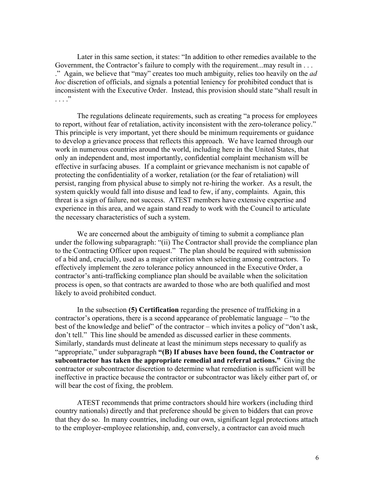Later in this same section, it states: "In addition to other remedies available to the Government, the Contractor's failure to comply with the requirement...may result in ... ." Again, we believe that "may" creates too much ambiguity, relies too heavily on the *ad hoc* discretion of officials, and signals a potential leniency for prohibited conduct that is inconsistent with the Executive Order. Instead, this provision should state "shall result in  $\cdots$  . . . .

The regulations delineate requirements, such as creating "a process for employees to report, without fear of retaliation, activity inconsistent with the zero-tolerance policy." This principle is very important, yet there should be minimum requirements or guidance to develop a grievance process that reflects this approach. We have learned through our work in numerous countries around the world, including here in the United States, that only an independent and, most importantly, confidential complaint mechanism will be effective in surfacing abuses. If a complaint or grievance mechanism is not capable of protecting the confidentiality of a worker, retaliation (or the fear of retaliation) will persist, ranging from physical abuse to simply not re-hiring the worker. As a result, the system quickly would fall into disuse and lead to few, if any, complaints. Again, this threat is a sign of failure, not success. ATEST members have extensive expertise and experience in this area, and we again stand ready to work with the Council to articulate the necessary characteristics of such a system.

We are concerned about the ambiguity of timing to submit a compliance plan under the following subparagraph: "(ii) The Contractor shall provide the compliance plan to the Contracting Officer upon request." The plan should be required with submission of a bid and, crucially, used as a major criterion when selecting among contractors. To effectively implement the zero tolerance policy announced in the Executive Order, a contractor's anti-trafficking compliance plan should be available when the solicitation process is open, so that contracts are awarded to those who are both qualified and most likely to avoid prohibited conduct.

In the subsection **(5) Certification** regarding the presence of trafficking in a contractor's operations, there is a second appearance of problematic language – "to the best of the knowledge and belief" of the contractor – which invites a policy of "don't ask, don't tell." This line should be amended as discussed earlier in these comments. Similarly, standards must delineate at least the minimum steps necessary to qualify as "appropriate," under subparagraph **"(B) If abuses have been found, the Contractor or subcontractor has taken the appropriate remedial and referral actions."** Giving the contractor or subcontractor discretion to determine what remediation is sufficient will be ineffective in practice because the contractor or subcontractor was likely either part of, or will bear the cost of fixing, the problem.

ATEST recommends that prime contractors should hire workers (including third country nationals) directly and that preference should be given to bidders that can prove that they do so. In many countries, including our own, significant legal protections attach to the employer-employee relationship, and, conversely, a contractor can avoid much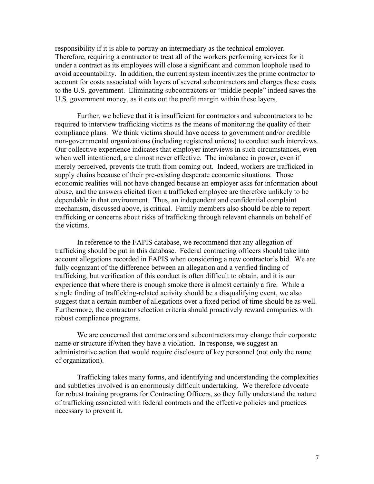responsibility if it is able to portray an intermediary as the technical employer. Therefore, requiring a contractor to treat all of the workers performing services for it under a contract as its employees will close a significant and common loophole used to avoid accountability. In addition, the current system incentivizes the prime contractor to account for costs associated with layers of several subcontractors and charges these costs to the U.S. government. Eliminating subcontractors or "middle people" indeed saves the U.S. government money, as it cuts out the profit margin within these layers.

Further, we believe that it is insufficient for contractors and subcontractors to be required to interview trafficking victims as the means of monitoring the quality of their compliance plans. We think victims should have access to government and/or credible non-governmental organizations (including registered unions) to conduct such interviews. Our collective experience indicates that employer interviews in such circumstances, even when well intentioned, are almost never effective. The imbalance in power, even if merely perceived, prevents the truth from coming out. Indeed, workers are trafficked in supply chains because of their pre-existing desperate economic situations. Those economic realities will not have changed because an employer asks for information about abuse, and the answers elicited from a trafficked employee are therefore unlikely to be dependable in that environment. Thus, an independent and confidential complaint mechanism, discussed above, is critical. Family members also should be able to report trafficking or concerns about risks of trafficking through relevant channels on behalf of the victims.

In reference to the FAPIS database, we recommend that any allegation of trafficking should be put in this database. Federal contracting officers should take into account allegations recorded in FAPIS when considering a new contractor's bid. We are fully cognizant of the difference between an allegation and a verified finding of trafficking, but verification of this conduct is often difficult to obtain, and it is our experience that where there is enough smoke there is almost certainly a fire. While a single finding of trafficking-related activity should be a disqualifying event, we also suggest that a certain number of allegations over a fixed period of time should be as well. Furthermore, the contractor selection criteria should proactively reward companies with robust compliance programs.

We are concerned that contractors and subcontractors may change their corporate name or structure if/when they have a violation. In response, we suggest an administrative action that would require disclosure of key personnel (not only the name of organization).

Trafficking takes many forms, and identifying and understanding the complexities and subtleties involved is an enormously difficult undertaking. We therefore advocate for robust training programs for Contracting Officers, so they fully understand the nature of trafficking associated with federal contracts and the effective policies and practices necessary to prevent it.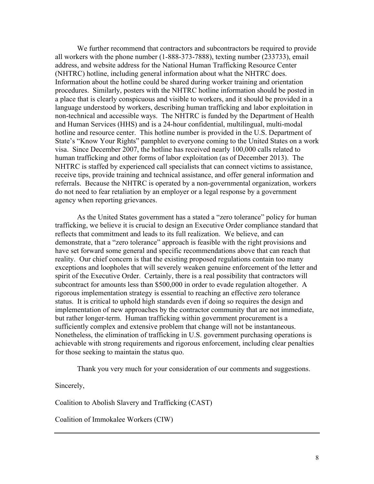We further recommend that contractors and subcontractors be required to provide all workers with the phone number (1-888-373-7888), texting number (233733), email address, and website address for the National Human Trafficking Resource Center (NHTRC) hotline, including general information about what the NHTRC does. Information about the hotline could be shared during worker training and orientation procedures. Similarly, posters with the NHTRC hotline information should be posted in a place that is clearly conspicuous and visible to workers, and it should be provided in a language understood by workers, describing human trafficking and labor exploitation in non-technical and accessible ways. The NHTRC is funded by the Department of Health and Human Services (HHS) and is a 24-hour confidential, multilingual, multi-modal hotline and resource center. This hotline number is provided in the U.S. Department of State's "Know Your Rights" pamphlet to everyone coming to the United States on a work visa. Since December 2007, the hotline has received nearly 100,000 calls related to human trafficking and other forms of labor exploitation (as of December 2013). The NHTRC is staffed by experienced call specialists that can connect victims to assistance, receive tips, provide training and technical assistance, and offer general information and referrals. Because the NHTRC is operated by a non-governmental organization, workers do not need to fear retaliation by an employer or a legal response by a government agency when reporting grievances.

As the United States government has a stated a "zero tolerance" policy for human trafficking, we believe it is crucial to design an Executive Order compliance standard that reflects that commitment and leads to its full realization. We believe, and can demonstrate, that a "zero tolerance" approach is feasible with the right provisions and have set forward some general and specific recommendations above that can reach that reality. Our chief concern is that the existing proposed regulations contain too many exceptions and loopholes that will severely weaken genuine enforcement of the letter and spirit of the Executive Order. Certainly, there is a real possibility that contractors will subcontract for amounts less than \$500,000 in order to evade regulation altogether. A rigorous implementation strategy is essential to reaching an effective zero tolerance status. It is critical to uphold high standards even if doing so requires the design and implementation of new approaches by the contractor community that are not immediate, but rather longer-term. Human trafficking within government procurement is a sufficiently complex and extensive problem that change will not be instantaneous. Nonetheless, the elimination of trafficking in U.S. government purchasing operations is achievable with strong requirements and rigorous enforcement, including clear penalties for those seeking to maintain the status quo.

Thank you very much for your consideration of our comments and suggestions.

Sincerely,

Coalition to Abolish Slavery and Trafficking (CAST)

Coalition of Immokalee Workers (CIW)